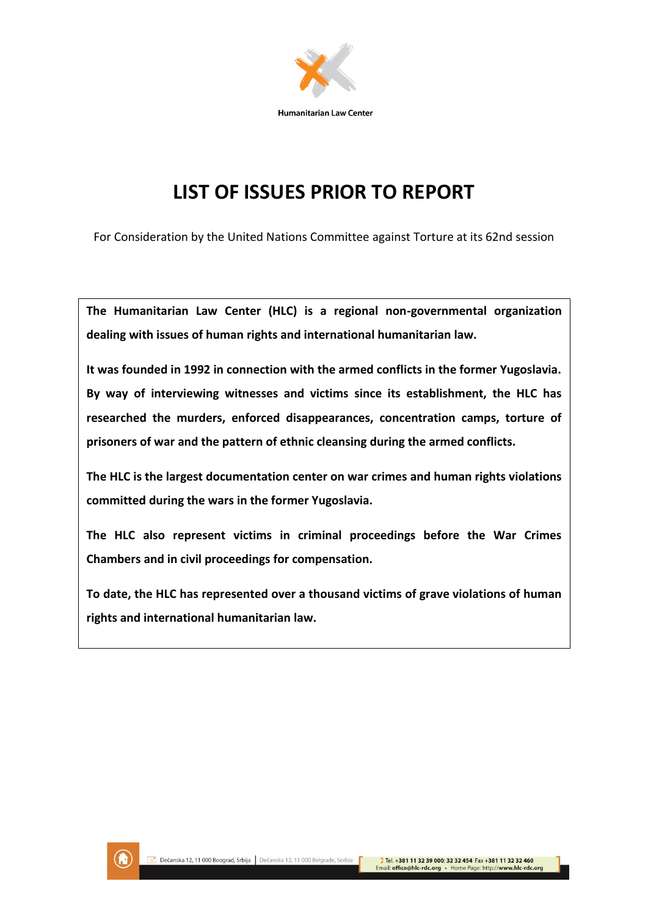

# **LIST OF ISSUES PRIOR TO REPORT**

For Consideration by the United Nations Committee against Torture at its 62nd session

**The Humanitarian Law Center (HLC) is a regional non-governmental organization dealing with issues of human rights and international humanitarian law.** 

**It was founded in 1992 in connection with the armed conflicts in the former Yugoslavia. By way of interviewing witnesses and victims since its establishment, the HLC has researched the murders, enforced disappearances, concentration camps, torture of prisoners of war and the pattern of ethnic cleansing during the armed conflicts.**

**The HLC is the largest documentation center on war crimes and human rights violations committed during the wars in the former Yugoslavia.** 

**The HLC also represent victims in criminal proceedings before the War Crimes Chambers and in civil proceedings for compensation.** 

**To date, the HLC has represented over a thousand victims of grave violations of human rights and international humanitarian law.**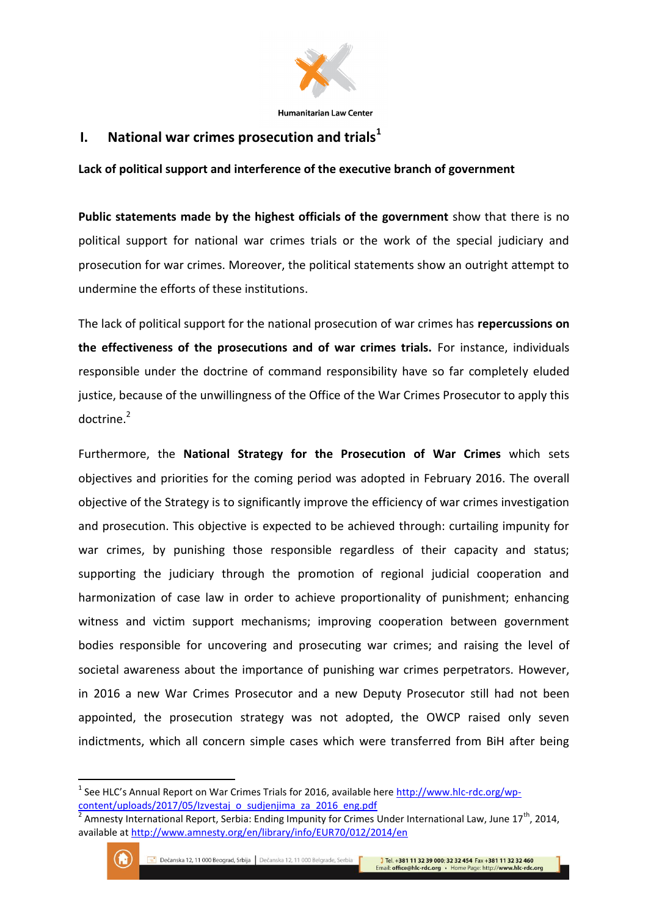

## **I. National war crimes prosecution and trials<sup>1</sup>**

**Lack of political support and interference of the executive branch of government**

**Public statements made by the highest officials of the government** show that there is no political support for national war crimes trials or the work of the special judiciary and prosecution for war crimes. Moreover, the political statements show an outright attempt to undermine the efforts of these institutions.

The lack of political support for the national prosecution of war crimes has **repercussions on the effectiveness of the prosecutions and of war crimes trials.** For instance, individuals responsible under the doctrine of command responsibility have so far completely eluded justice, because of the unwillingness of the Office of the War Crimes Prosecutor to apply this doctrine.<sup>2</sup>

Furthermore, the **National Strategy for the Prosecution of War Crimes** which sets objectives and priorities for the coming period was adopted in February 2016. The overall objective of the Strategy is to significantly improve the efficiency of war crimes investigation and prosecution. This objective is expected to be achieved through: curtailing impunity for war crimes, by punishing those responsible regardless of their capacity and status; supporting the judiciary through the promotion of regional judicial cooperation and harmonization of case law in order to achieve proportionality of punishment; enhancing witness and victim support mechanisms; improving cooperation between government bodies responsible for uncovering and prosecuting war crimes; and raising the level of societal awareness about the importance of punishing war crimes perpetrators. However, in 2016 a new War Crimes Prosecutor and a new Deputy Prosecutor still had not been appointed, the prosecution strategy was not adopted, the OWCP raised only seven indictments, which all concern simple cases which were transferred from BiH after being

<sup>&</sup>lt;sup>2</sup> Amnesty International Report, Serbia: Ending Impunity for Crimes Under International Law, June 17<sup>th</sup>, 2014, available a[t http://www.amnesty.org/en/library/info/EUR70/012/2014/en](http://www.amnesty.org/en/library/info/EUR70/012/2014/en)



<sup>&</sup>lt;sup>1</sup> See HLC's Annual Report on War Crimes Trials for 2016, available here [http://www.hlc-rdc.org/wp](http://www.hlc-rdc.org/wp-content/uploads/2017/05/Izvestaj_o_sudjenjima_za_2016_eng.pdf)[content/uploads/2017/05/Izvestaj\\_o\\_sudjenjima\\_za\\_2016\\_eng.pdf](http://www.hlc-rdc.org/wp-content/uploads/2017/05/Izvestaj_o_sudjenjima_za_2016_eng.pdf)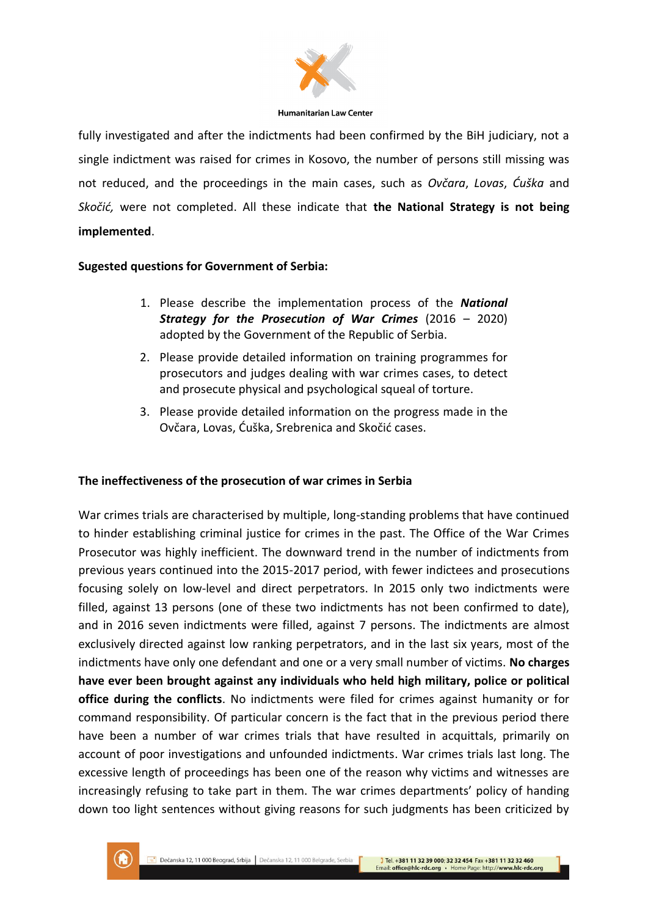

fully investigated and after the indictments had been confirmed by the BiH judiciary, not a single indictment was raised for crimes in Kosovo, the number of persons still missing was not reduced, and the proceedings in the main cases, such as *Ovčara*, *Lovas*, *Ćuška* and *Skočić,* were not completed. All these indicate that **the National Strategy is not being implemented**.

## **Sugested questions for Government of Serbia:**

- 1. Please describe the implementation process of the *National Strategy for the Prosecution of War Crimes* (2016 – 2020) adopted by the Government of the Republic of Serbia.
- 2. Please provide detailed information on training programmes for prosecutors and judges dealing with war crimes cases, to detect and prosecute physical and psychological squeal of torture.
- 3. Please provide detailed information on the progress made in the Ovčara, Lovas, Ćuška, Srebrenica and Skočić cases.

## **The ineffectiveness of the prosecution of war crimes in Serbia**

War crimes trials are characterised by multiple, long-standing problems that have continued to hinder establishing criminal justice for crimes in the past. The Office of the War Crimes Prosecutor was highly inefficient. The downward trend in the number of indictments from previous years continued into the 2015-2017 period, with fewer indictees and prosecutions focusing solely on low-level and direct perpetrators. In 2015 only two indictments were filled, against 13 persons (one of these two indictments has not been confirmed to date), and in 2016 seven indictments were filled, against 7 persons. The indictments are almost exclusively directed against low ranking perpetrators, and in the last six years, most of the indictments have only one defendant and one or a very small number of victims. **No charges have ever been brought against any individuals who held high military, police or political office during the conflicts**. No indictments were filed for crimes against humanity or for command responsibility. Of particular concern is the fact that in the previous period there have been a number of war crimes trials that have resulted in acquittals, primarily on account of poor investigations and unfounded indictments. War crimes trials last long. The excessive length of proceedings has been one of the reason why victims and witnesses are increasingly refusing to take part in them. The war crimes departments' policy of handing down too light sentences without giving reasons for such judgments has been criticized by

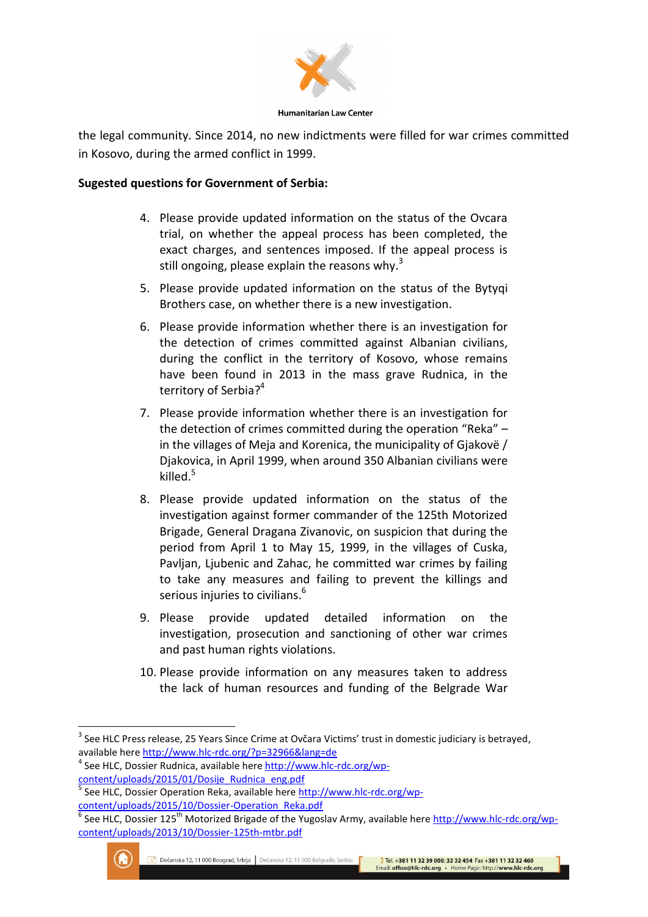

the legal community. Since 2014, no new indictments were filled for war crimes committed in Kosovo, during the armed conflict in 1999.

## **Sugested questions for Government of Serbia:**

- 4. Please provide updated information on the status of the Ovcara trial, on whether the appeal process has been completed, the exact charges, and sentences imposed. If the appeal process is still ongoing, please explain the reasons why.<sup>3</sup>
- 5. Please provide updated information on the status of the Bytyqi Brothers case, on whether there is a new investigation.
- 6. Please provide information whether there is an investigation for the detection of crimes committed against Albanian civilians, during the conflict in the territory of Kosovo, whose remains have been found in 2013 in the mass grave Rudnica, in the territory of Serbia?<sup>4</sup>
- 7. Please provide information whether there is an investigation for the detection of crimes committed during the operation "Reka" – in the villages of Meja and Korenica, the municipality of Gjakovë / Djakovica, in April 1999, when around 350 Albanian civilians were killed.<sup>5</sup>
- 8. Please provide updated information on the status of the investigation against former commander of the 125th Motorized Brigade, General Dragana Zivanovic, on suspicion that during the period from April 1 to May 15, 1999, in the villages of Cuska, Pavljan, Ljubenic and Zahac, he committed war crimes by failing to take any measures and failing to prevent the killings and serious injuries to civilians.<sup>6</sup>
- 9. Please provide updated detailed information on the investigation, prosecution and sanctioning of other war crimes and past human rights violations.
- 10. Please provide information on any measures taken to address the lack of human resources and funding of the Belgrade War

<sup>&</sup>lt;sup>6</sup> See HLC, Dossier 125<sup>th</sup> Motorized Brigade of the Yugoslav Army, available here [http://www.hlc-rdc.org/wp](http://www.hlc-rdc.org/wp-content/uploads/2013/10/Dossier-125th-mtbr.pdf)[content/uploads/2013/10/Dossier-125th-mtbr.pdf](http://www.hlc-rdc.org/wp-content/uploads/2013/10/Dossier-125th-mtbr.pdf)



1

<sup>&</sup>lt;sup>3</sup> See HLC Press release, 25 Years Since Crime at Ovčara Victims' trust in domestic judiciary is betrayed, available here<http://www.hlc-rdc.org/?p=32966&lang=de>

<sup>&</sup>lt;sup>4</sup> See HLC, Dossier Rudnica, available her[e http://www.hlc-rdc.org/wp](http://www.hlc-rdc.org/wp-content/uploads/2015/01/Dosije_Rudnica_eng.pdf)[content/uploads/2015/01/Dosije\\_Rudnica\\_eng.pdf](http://www.hlc-rdc.org/wp-content/uploads/2015/01/Dosije_Rudnica_eng.pdf)

<sup>5</sup> See HLC, Dossier Operation Reka, available here [http://www.hlc-rdc.org/wp](http://www.hlc-rdc.org/wp-content/uploads/2015/10/Dossier-Operation_Reka.pdf)[content/uploads/2015/10/Dossier-Operation\\_Reka.pdf](http://www.hlc-rdc.org/wp-content/uploads/2015/10/Dossier-Operation_Reka.pdf)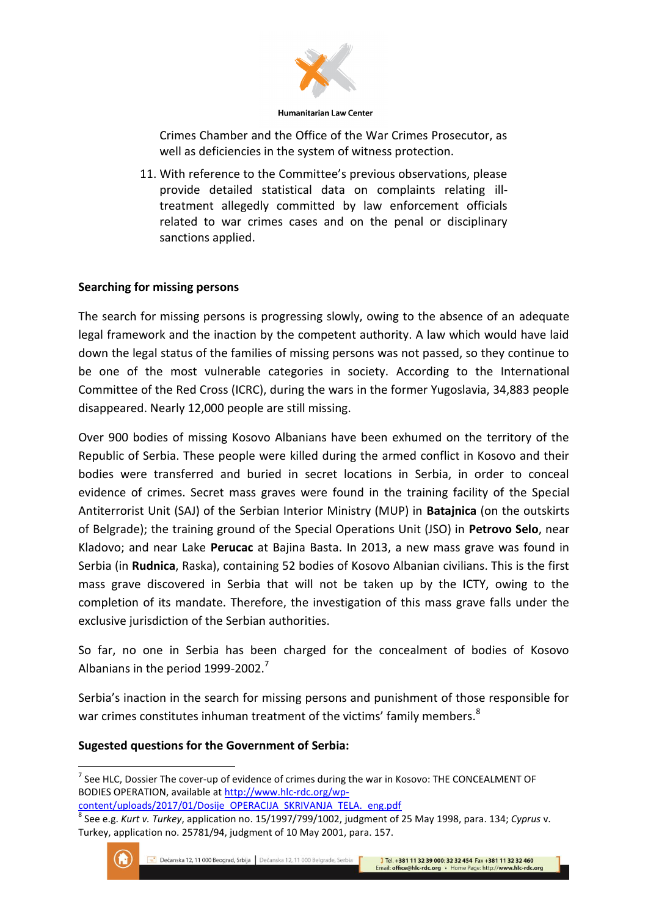

**Humanitarian Law Center** 

Crimes Chamber and the Office of the War Crimes Prosecutor, as well as deficiencies in the system of witness protection.

11. With reference to the Committee's previous observations, please provide detailed statistical data on complaints relating illtreatment allegedly committed by law enforcement officials related to war crimes cases and on the penal or disciplinary sanctions applied.

## **Searching for missing persons**

The search for missing persons is progressing slowly, owing to the absence of an adequate legal framework and the inaction by the competent authority. A law which would have laid down the legal status of the families of missing persons was not passed, so they continue to be one of the most vulnerable categories in society. According to the International Committee of the Red Cross (ICRC), during the wars in the former Yugoslavia, 34,883 people disappeared. Nearly 12,000 people are still missing.

Over 900 bodies of missing Kosovo Albanians have been exhumed on the territory of the Republic of Serbia. These people were killed during the armed conflict in Kosovo and their bodies were transferred and buried in secret locations in Serbia, in order to conceal evidence of crimes. Secret mass graves were found in the training facility of the Special Antiterrorist Unit (SAJ) of the Serbian Interior Ministry (MUP) in **Batajnica** (on the outskirts of Belgrade); the training ground of the Special Operations Unit (JSO) in **Petrovo Selo**, near Kladovo; and near Lake **Perucac** at Bajina Basta. In 2013, a new mass grave was found in Serbia (in **Rudnica**, Raska), containing 52 bodies of Kosovo Albanian civilians. This is the first mass grave discovered in Serbia that will not be taken up by the ICTY, owing to the completion of its mandate. Therefore, the investigation of this mass grave falls under the exclusive jurisdiction of the Serbian authorities.

So far, no one in Serbia has been charged for the concealment of bodies of Kosovo Albanians in the period  $1999-2002.<sup>7</sup>$ 

Serbia's inaction in the search for missing persons and punishment of those responsible for war crimes constitutes inhuman treatment of the victims' family members.<sup>8</sup>

## **Sugested questions for the Government of Serbia:**

<sup>8</sup> See e.g. *Kurt v. Turkey*, application no. 15/1997/799/1002, judgment of 25 May 1998, para. 134; *Cyprus* v. Turkey, application no. 25781/94, judgment of 10 May 2001, para. 157.



 $^7$  See HLC, Dossier The cover-up of evidence of crimes during the war in Kosovo: THE CONCEALMENT OF BODIES OPERATION, available at [http://www.hlc-rdc.org/wp-](http://www.hlc-rdc.org/wp-content/uploads/2017/01/Dosije_OPERACIJA_SKRIVANJA_TELA._eng.pdf)

[content/uploads/2017/01/Dosije\\_OPERACIJA\\_SKRIVANJA\\_TELA.\\_eng.pdf](http://www.hlc-rdc.org/wp-content/uploads/2017/01/Dosije_OPERACIJA_SKRIVANJA_TELA._eng.pdf)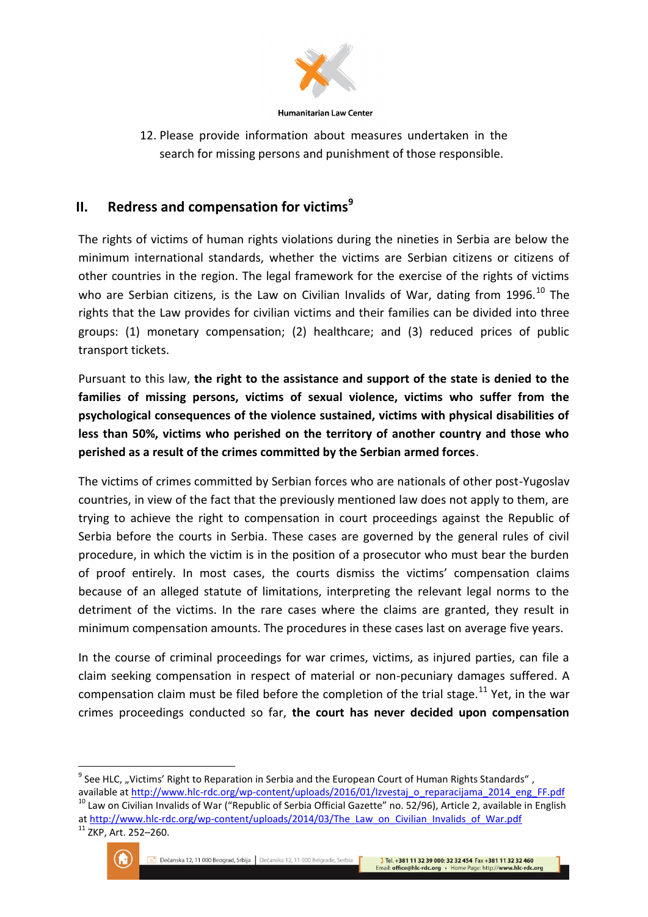

12. Please provide information about measures undertaken in the search for missing persons and punishment of those responsible.

## **II.** Redress and compensation for victims<sup>9</sup>

The rights of victims of human rights violations during the nineties in Serbia are below the minimum international standards, whether the victims are Serbian citizens or citizens of other countries in the region. The legal framework for the exercise of the rights of victims who are Serbian citizens, is the Law on Civilian Invalids of War, dating from 1996.<sup>10</sup> The rights that the Law provides for civilian victims and their families can be divided into three groups: (1) monetary compensation; (2) healthcare; and (3) reduced prices of public transport tickets.

Pursuant to this law, **the right to the assistance and support of the state is denied to the families of missing persons, victims of sexual violence, victims who suffer from the psychological consequences of the violence sustained, victims with physical disabilities of less than 50%, victims who perished on the territory of another country and those who perished as a result of the crimes committed by the Serbian armed forces**.

The victims of crimes committed by Serbian forces who are nationals of other post-Yugoslav countries, in view of the fact that the previously mentioned law does not apply to them, are trying to achieve the right to compensation in court proceedings against the Republic of Serbia before the courts in Serbia. These cases are governed by the general rules of civil procedure, in which the victim is in the position of a prosecutor who must bear the burden of proof entirely. In most cases, the courts dismiss the victims' compensation claims because of an alleged statute of limitations, interpreting the relevant legal norms to the detriment of the victims. In the rare cases where the claims are granted, they result in minimum compensation amounts. The procedures in these cases last on average five years.

In the course of criminal proceedings for war crimes, victims, as injured parties, can file a claim seeking compensation in respect of material or non-pecuniary damages suffered. A compensation claim must be filed before the completion of the trial stage.<sup>11</sup> Yet, in the war crimes proceedings conducted so far, **the court has never decided upon compensation** 

<sup>&</sup>lt;sup>11</sup> ZKP, Art. 252-260.



**<sup>.</sup>**  $^{9}$  See HLC, "Victims' Right to Reparation in Serbia and the European Court of Human Rights Standards", available a[t http://www.hlc-rdc.org/wp-content/uploads/2016/01/Izvestaj\\_o\\_reparacijama\\_2014\\_eng\\_FF.pdf](http://www.hlc-rdc.org/wp-content/uploads/2016/01/Izvestaj_o_reparacijama_2014_eng_FF.pdf) <sup>10</sup> Law on Civilian Invalids of War ("Republic of Serbia Official Gazette" no. 52/96), Article 2, available in English a[t http://www.hlc-rdc.org/wp-content/uploads/2014/03/The\\_Law\\_on\\_Civilian\\_Invalids\\_of\\_War.pdf](http://www.hlc-rdc.org/wp-content/uploads/2014/03/The_Law_on_Civilian_Invalids_of_War.pdf)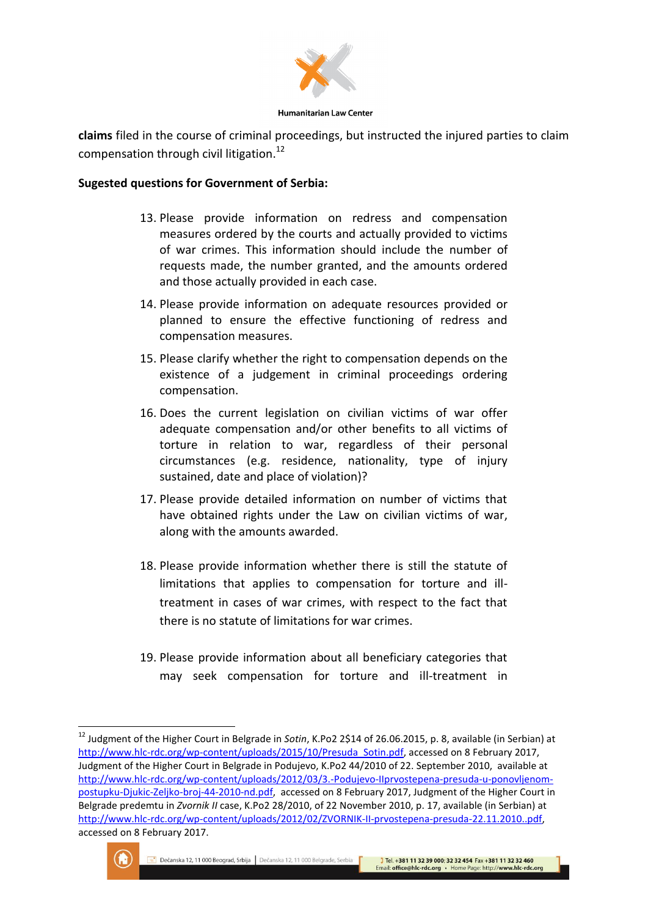

**Humanitarian Law Center** 

**claims** filed in the course of criminal proceedings, but instructed the injured parties to claim compensation through civil litigation.<sup>12</sup>

## **Sugested questions for Government of Serbia:**

- 13. Please provide information on redress and compensation measures ordered by the courts and actually provided to victims of war crimes. This information should include the number of requests made, the number granted, and the amounts ordered and those actually provided in each case.
- 14. Please provide information on adequate resources provided or planned to ensure the effective functioning of redress and compensation measures.
- 15. Please clarify whether the right to compensation depends on the existence of a judgement in criminal proceedings ordering compensation.
- 16. Does the current legislation on civilian victims of war offer adequate compensation and/or other benefits to all victims of torture in relation to war, regardless of their personal circumstances (e.g. residence, nationality, type of injury sustained, date and place of violation)?
- 17. Please provide detailed information on number of victims that have obtained rights under the Law on civilian victims of war, along with the amounts awarded.
- 18. Please provide information whether there is still the statute of limitations that applies to compensation for torture and illtreatment in cases of war crimes, with respect to the fact that there is no statute of limitations for war crimes.
- 19. Please provide information about all beneficiary categories that may seek compensation for torture and ill-treatment in

<sup>12</sup> Judgment of the Higher Court in Belgrade in *Sotin*, K.Po2 2\$14 of 26.06.2015, p. 8, available (in Serbian) at [http://www.hlc-rdc.org/wp-content/uploads/2015/10/Presuda\\_Sotin.pdf,](http://www.hlc-rdc.org/wp-content/uploads/2015/10/Presuda_Sotin.pdf) accessed on 8 February 2017, Judgment of the Higher Court in Belgrade in Podujevo, K.Po2 44/2010 of 22. September 2010, available at [http://www.hlc-rdc.org/wp-content/uploads/2012/03/3.-Podujevo-IIprvostepena-presuda-u-ponovljenom](http://www.hlc-rdc.org/wp-content/uploads/2012/03/3.-Podujevo-IIprvostepena-presuda-u-ponovljenom-postupku-Djukic-Zeljko-broj-44-2010-nd.pdf)[postupku-Djukic-Zeljko-broj-44-2010-nd.pdf,](http://www.hlc-rdc.org/wp-content/uploads/2012/03/3.-Podujevo-IIprvostepena-presuda-u-ponovljenom-postupku-Djukic-Zeljko-broj-44-2010-nd.pdf) accessed on 8 February 2017, Judgment of the Higher Court in Belgrade predemtu in *Zvornik II* case, K.Po2 28/2010, of 22 November 2010, p. 17, available (in Serbian) at [http://www.hlc-rdc.org/wp-content/uploads/2012/02/ZVORNIK-II-prvostepena-presuda-22.11.2010..pdf,](http://www.hlc-rdc.org/wp-content/uploads/2012/02/ZVORNIK-II-prvostepena-presuda-22.11.2010..pdf)  accessed on 8 February 2017.



1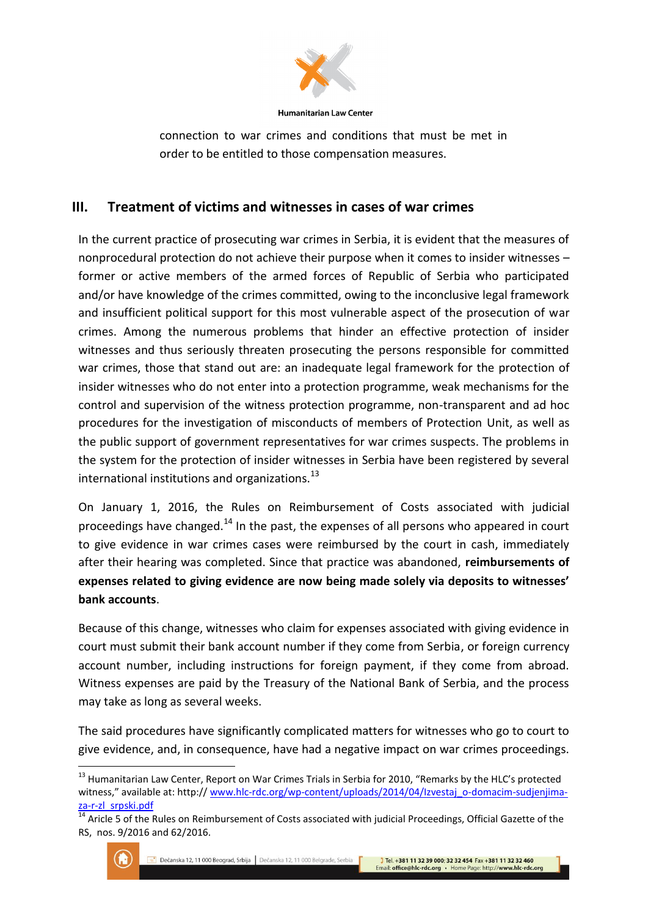

connection to war crimes and conditions that must be met in order to be entitled to those compensation measures.

## **III. Treatment of victims and witnesses in cases of war crimes**

In the current practice of prosecuting war crimes in Serbia, it is evident that the measures of nonprocedural protection do not achieve their purpose when it comes to insider witnesses – former or active members of the armed forces of Republic of Serbia who participated and/or have knowledge of the crimes committed, owing to the inconclusive legal framework and insufficient political support for this most vulnerable aspect of the prosecution of war crimes. Among the numerous problems that hinder an effective protection of insider witnesses and thus seriously threaten prosecuting the persons responsible for committed war crimes, those that stand out are: an inadequate legal framework for the protection of insider witnesses who do not enter into a protection programme, weak mechanisms for the control and supervision of the witness protection programme, non-transparent and ad hoc procedures for the investigation of misconducts of members of Protection Unit, as well as the public support of government representatives for war crimes suspects. The problems in the system for the protection of insider witnesses in Serbia have been registered by several international institutions and organizations. $^{13}$ 

On January 1, 2016, the Rules on Reimbursement of Costs associated with judicial proceedings have changed.<sup>14</sup> In the past, the expenses of all persons who appeared in court to give evidence in war crimes cases were reimbursed by the court in cash, immediately after their hearing was completed. Since that practice was abandoned, **reimbursements of expenses related to giving evidence are now being made solely via deposits to witnesses' bank accounts**.

Because of this change, witnesses who claim for expenses associated with giving evidence in court must submit their bank account number if they come from Serbia, or foreign currency account number, including instructions for foreign payment, if they come from abroad. Witness expenses are paid by the Treasury of the National Bank of Serbia, and the process may take as long as several weeks.

The said procedures have significantly complicated matters for witnesses who go to court to give evidence, and, in consequence, have had a negative impact on war crimes proceedings.

<sup>&</sup>lt;sup>14</sup> Aricle 5 of the Rules on Reimbursement of Costs associated with judicial Proceedings, Official Gazette of the RS, nos. 9/2016 and 62/2016.



<sup>&</sup>lt;sup>13</sup> Humanitarian Law Center, Report on War Crimes Trials in Serbia for 2010, "Remarks by the HLC's protected witness," available at: http:// [www.hlc-rdc.org/wp-content/uploads/2014/04/Izvestaj\\_o-domacim-sudjenjima](http://www.hlc-rdc.org/wp-content/uploads/2014/04/Izvestaj_o-domacim-sudjenjima-za-r-zl_srpski.pdf)[za-r-zl\\_srpski.pdf](http://www.hlc-rdc.org/wp-content/uploads/2014/04/Izvestaj_o-domacim-sudjenjima-za-r-zl_srpski.pdf)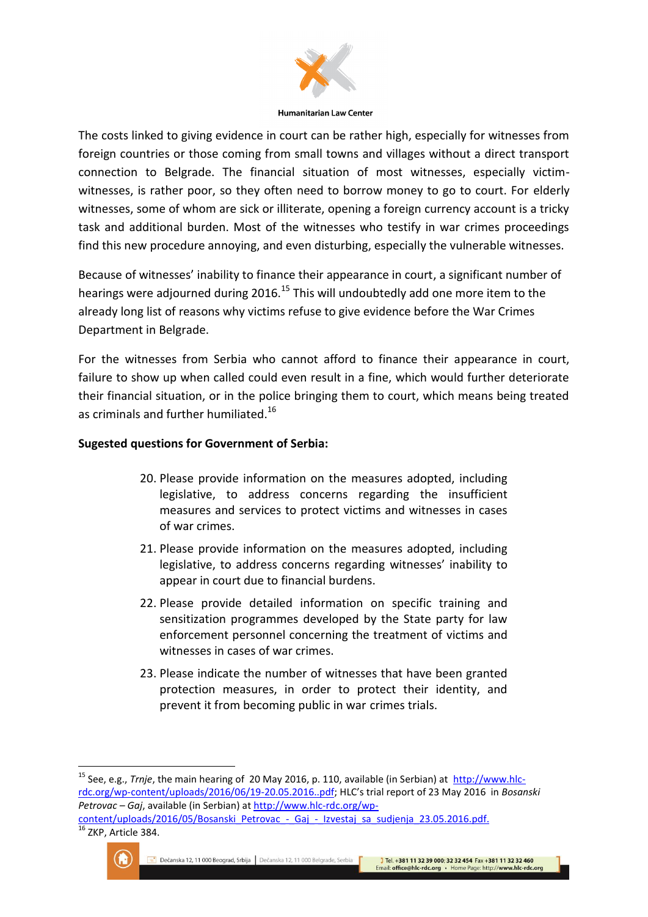

The costs linked to giving evidence in court can be rather high, especially for witnesses from foreign countries or those coming from small towns and villages without a direct transport connection to Belgrade. The financial situation of most witnesses, especially victimwitnesses, is rather poor, so they often need to borrow money to go to court. For elderly witnesses, some of whom are sick or illiterate, opening a foreign currency account is a tricky task and additional burden. Most of the witnesses who testify in war crimes proceedings find this new procedure annoying, and even disturbing, especially the vulnerable witnesses.

Because of witnesses' inability to finance their appearance in court, a significant number of hearings were adjourned during 2016.<sup>15</sup> This will undoubtedly add one more item to the already long list of reasons why victims refuse to give evidence before the War Crimes Department in Belgrade.

For the witnesses from Serbia who cannot afford to finance their appearance in court, failure to show up when called could even result in a fine, which would further deteriorate their financial situation, or in the police bringing them to court, which means being treated as criminals and further humiliated.<sup>16</sup>

## **Sugested questions for Government of Serbia:**

- 20. Please provide information on the measures adopted, including legislative, to address concerns regarding the insufficient measures and services to protect victims and witnesses in cases of war crimes.
- 21. Please provide information on the measures adopted, including legislative, to address concerns regarding witnesses' inability to appear in court due to financial burdens.
- 22. Please provide detailed information on specific training and sensitization programmes developed by the State party for law enforcement personnel concerning the treatment of victims and witnesses in cases of war crimes.
- 23. Please indicate the number of witnesses that have been granted protection measures, in order to protect their identity, and prevent it from becoming public in war crimes trials.



<sup>&</sup>lt;sup>15</sup> See, e.g., *Trnje*, the main hearing of 20 May 2016, p. 110, available (in Serbian) at [http://www.hlc](http://www.hlc-rdc.org/wp-content/uploads/2016/06/19-20.05.2016..pdf)[rdc.org/wp-content/uploads/2016/06/19-20.05.2016..pdf;](http://www.hlc-rdc.org/wp-content/uploads/2016/06/19-20.05.2016..pdf) HLC's trial report of 23 May 2016 in *Bosanski Petrovac – Gaj*, available (in Serbian) at [http://www.hlc-rdc.org/wp](http://www.hlc-rdc.org/wp-content/uploads/2016/05/Bosanski_Petrovac_-_Gaj_-_Izvestaj_sa_sudjenja_23.05.2016.pdf)content/uploads/2016/05/Bosanski Petrovac - Gaj - Izvestaj sa sudjenja 23.05.2016.pdf.

<sup>&</sup>lt;sup>16</sup> ZKP, Article 384.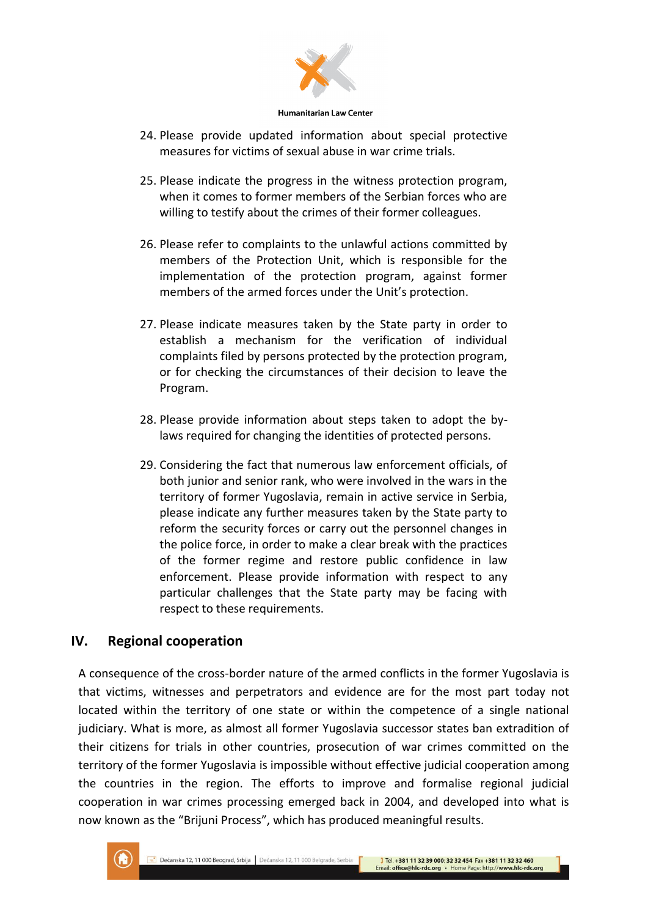

- 24. Please provide updated information about special protective measures for victims of sexual abuse in war crime trials.
- 25. Please indicate the progress in the witness protection program, when it comes to former members of the Serbian forces who are willing to testify about the crimes of their former colleagues.
- 26. Please refer to complaints to the unlawful actions committed by members of the Protection Unit, which is responsible for the implementation of the protection program, against former members of the armed forces under the Unit's protection.
- 27. Please indicate measures taken by the State party in order to establish a mechanism for the verification of individual complaints filed by persons protected by the protection program, or for checking the circumstances of their decision to leave the Program.
- 28. Please provide information about steps taken to adopt the bylaws required for changing the identities of protected persons.
- 29. Considering the fact that numerous law enforcement officials, of both junior and senior rank, who were involved in the wars in the territory of former Yugoslavia, remain in active service in Serbia, please indicate any further measures taken by the State party to reform the security forces or carry out the personnel changes in the police force, in order to make a clear break with the practices of the former regime and restore public confidence in law enforcement. Please provide information with respect to any particular challenges that the State party may be facing with respect to these requirements.

## **IV. Regional cooperation**

A consequence of the cross-border nature of the armed conflicts in the former Yugoslavia is that victims, witnesses and perpetrators and evidence are for the most part today not located within the territory of one state or within the competence of a single national judiciary. What is more, as almost all former Yugoslavia successor states ban extradition of their citizens for trials in other countries, prosecution of war crimes committed on the territory of the former Yugoslavia is impossible without effective judicial cooperation among the countries in the region. The efforts to improve and formalise regional judicial cooperation in war crimes processing emerged back in 2004, and developed into what is now known as the "Brijuni Process", which has produced meaningful results.